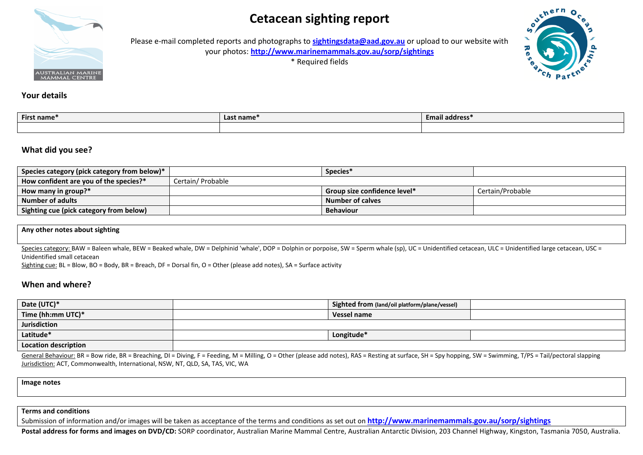# **Cetacean sighting report**



Please e-mail completed reports and photographs to **[sightingsdata@aad.gov.au](mailto:sightingsdata@aad.gov.au)** or upload to our website with your photos: **<http://www.marinemammals.gov.au/sorp/sightings>**

\* Required fields



#### **Your details**

| First name | Last name <sup>-</sup> | <b>Email address*</b> |
|------------|------------------------|-----------------------|
|            |                        |                       |

#### **What did you see?**

| Species category (pick category from below)* |                  | Species*                            |                  |
|----------------------------------------------|------------------|-------------------------------------|------------------|
| How confident are you of the species?*       | Certain/Probable |                                     |                  |
| $\vert$ How many in group?*                  |                  | <b>Group size confidence level*</b> | Certain/Probable |
| Number of adults                             |                  | <b>Number of calves</b>             |                  |
| Sighting cue (pick category from below)      |                  | Behaviour                           |                  |

#### **Any other notes about sighting**

Species category: BAW = Baleen whale, BEW = Beaked whale, DW = Delphinid 'whale', DOP = Dolphin or porpoise, SW = Sperm whale (sp), UC = Unidentified cetacean, ULC = Unidentified large cetacean, USC = Unidentified small cetacean

Sighting cue: BL = Blow, BO = Body, BR = Breach, DF = Dorsal fin, O = Other (please add notes), SA = Surface activity

#### **When and where?**

| Date (UTC)*          | Sighted from (land/oil platform/plane/vessel) |  |
|----------------------|-----------------------------------------------|--|
| Time (hh:mm UTC)*    | Vessel name                                   |  |
| Jurisdiction         |                                               |  |
| Latitude*            | Longitude*                                    |  |
| Location description |                                               |  |

General Behaviour: BR = Bow ride, BR = Breaching, DI = Diving, F = Feeding, M = Milling, O = Other (please add notes), RAS = Resting at surface, SH = Spy hopping, SW = Swimming, T/PS = Tail/pectoral slapping Jurisdiction: ACT, Commonwealth, International, NSW, NT, QLD, SA, TAS, VIC, WA

**Image notes**

#### **Terms and conditions**

Submission of information and/or images will be taken as acceptance of the terms and conditions as set out on **http://www.marinemammals.gov.au/sorp/sightings**

Postal address for forms and images on DVD/CD: SORP coordinator, Australian Marine Mammal Centre, Australian Antarctic Division, 203 Channel Highway, Kingston, Tasmania 7050, Australia.